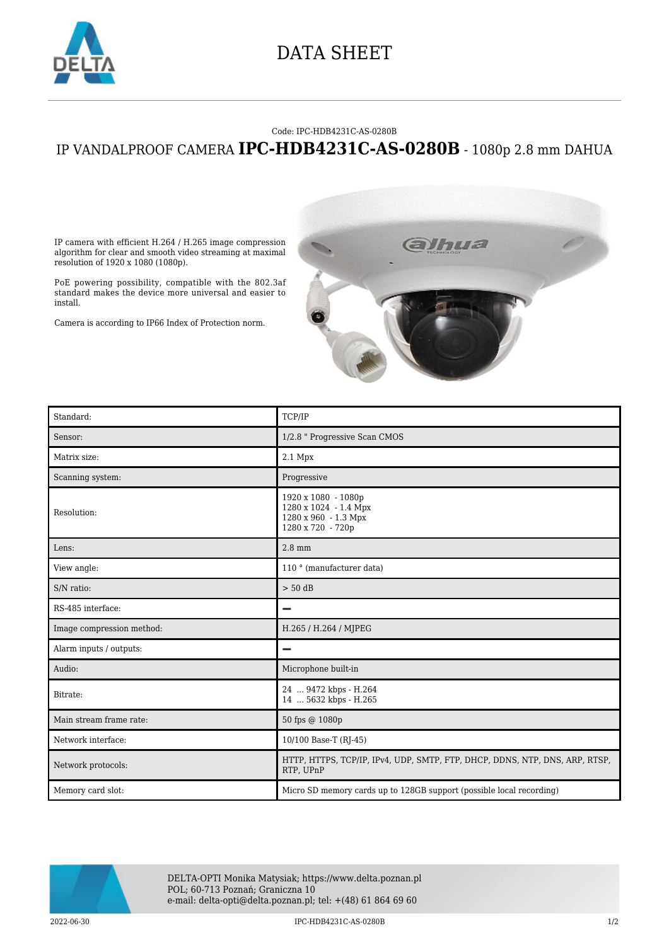

## DATA SHEET

## Code: IPC-HDB4231C-AS-0280B

## IP VANDALPROOF CAMERA **IPC-HDB4231C-AS-0280B** - 1080p 2.8 mm DAHUA

IP camera with efficient H.264 / H.265 image compression algorithm for clear and smooth video streaming at maximal resolution of 1920 x 1080 (1080p).

PoE powering possibility, compatible with the 802.3af standard makes the device more universal and easier to install.

Camera is according to IP66 Index of Protection norm.



| Standard:                 | TCP/IP                                                                                    |
|---------------------------|-------------------------------------------------------------------------------------------|
| Sensor:                   | 1/2.8 " Progressive Scan CMOS                                                             |
| Matrix size:              | $2.1$ Mpx                                                                                 |
| Scanning system:          | Progressive                                                                               |
| Resolution:               | 1920 x 1080 - 1080p<br>1280 x 1024 - 1.4 Mpx<br>1280 x 960 - 1.3 Mpx<br>1280 x 720 - 720p |
| Lens:                     | $2.8$ mm                                                                                  |
| View angle:               | 110 <sup>°</sup> (manufacturer data)                                                      |
| S/N ratio:                | $> 50$ dB                                                                                 |
| RS-485 interface:         | -                                                                                         |
| Image compression method: | H.265 / H.264 / MJPEG                                                                     |
| Alarm inputs / outputs:   |                                                                                           |
| Audio:                    | Microphone built-in                                                                       |
| Bitrate:                  | 24  9472 kbps - H.264<br>14  5632 kbps - H.265                                            |
| Main stream frame rate:   | 50 fps @ 1080p                                                                            |
| Network interface:        | 10/100 Base-T (RJ-45)                                                                     |
| Network protocols:        | HTTP, HTTPS, TCP/IP, IPv4, UDP, SMTP, FTP, DHCP, DDNS, NTP, DNS, ARP, RTSP,<br>RTP, UPnP  |
| Memory card slot:         | Micro SD memory cards up to 128GB support (possible local recording)                      |



DELTA-OPTI Monika Matysiak; https://www.delta.poznan.pl POL; 60-713 Poznań; Graniczna 10 e-mail: delta-opti@delta.poznan.pl; tel: +(48) 61 864 69 60